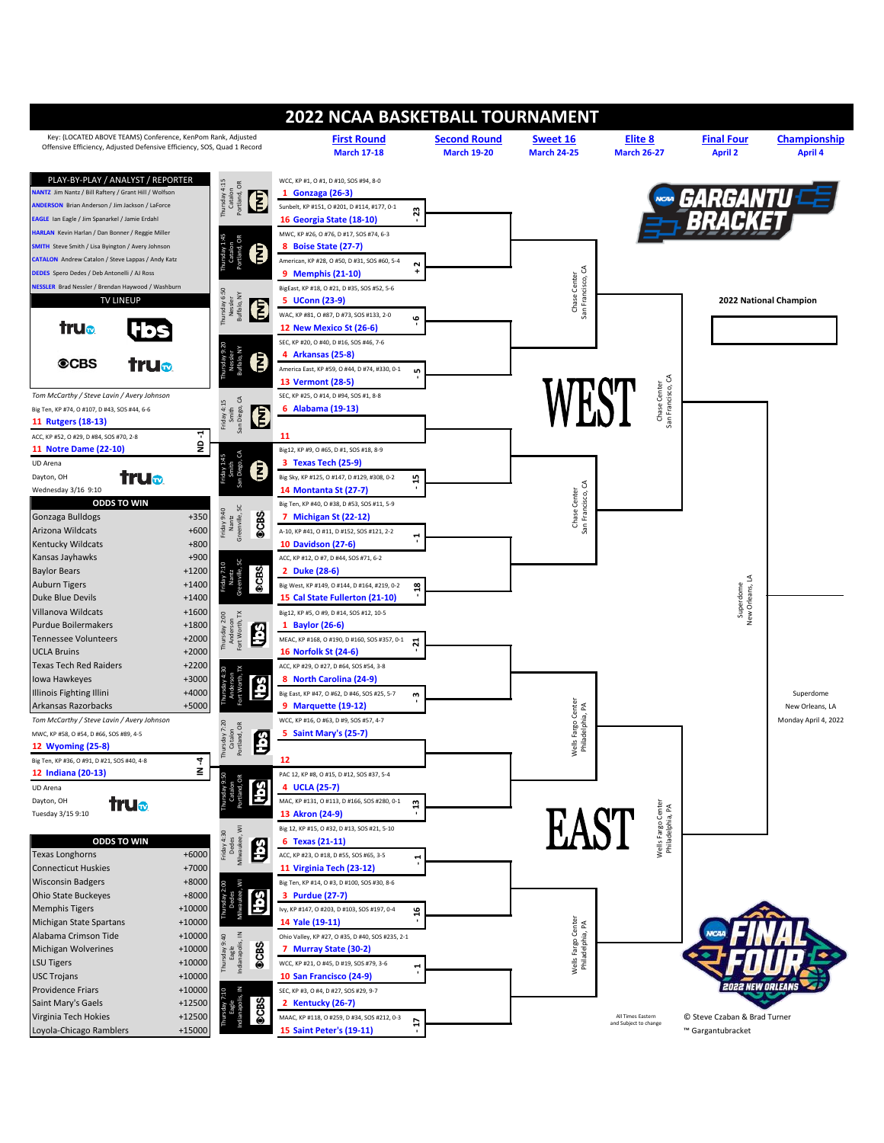